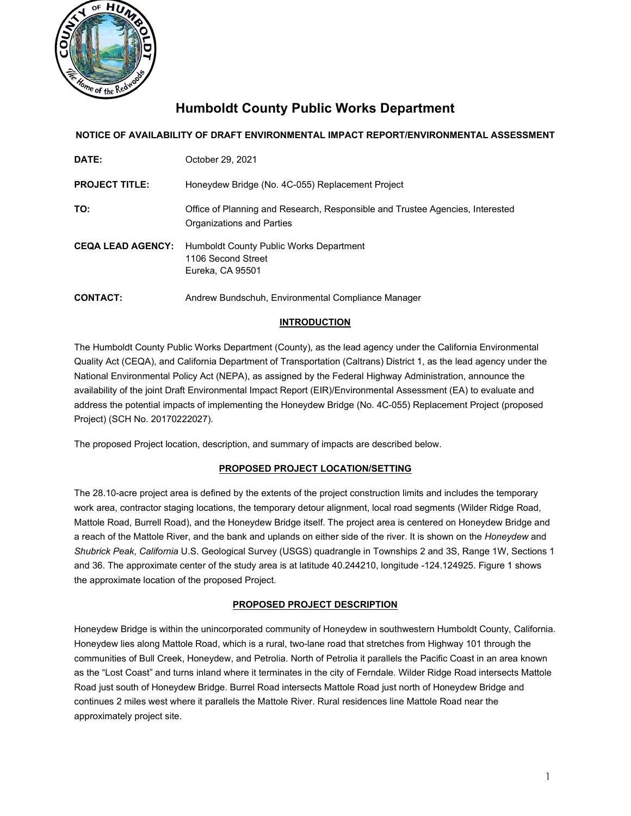

# **Humboldt County Public Works Department**

### **NOTICE OF AVAILABILITY OF DRAFT ENVIRONMENTAL IMPACT REPORT/ENVIRONMENTAL ASSESSMENT**

| DATE:                    | October 29, 2021                                                                                           |
|--------------------------|------------------------------------------------------------------------------------------------------------|
| <b>PROJECT TITLE:</b>    | Honeydew Bridge (No. 4C-055) Replacement Project                                                           |
| TO:                      | Office of Planning and Research, Responsible and Trustee Agencies, Interested<br>Organizations and Parties |
| <b>CEQA LEAD AGENCY:</b> | Humboldt County Public Works Department<br>1106 Second Street<br>Eureka, CA 95501                          |
| <b>CONTACT:</b>          | Andrew Bundschuh, Environmental Compliance Manager                                                         |

### **INTRODUCTION**

The Humboldt County Public Works Department (County), as the lead agency under the California Environmental Quality Act (CEQA), and California Department of Transportation (Caltrans) District 1, as the lead agency under the National Environmental Policy Act (NEPA), as assigned by the Federal Highway Administration, announce the availability of the joint Draft Environmental Impact Report (EIR)/Environmental Assessment (EA) to evaluate and address the potential impacts of implementing the Honeydew Bridge (No. 4C-055) Replacement Project (proposed Project) (SCH No. 20170222027).

The proposed Project location, description, and summary of impacts are described below.

#### **PROPOSED PROJECT LOCATION/SETTING**

The 28.10-acre project area is defined by the extents of the project construction limits and includes the temporary work area, contractor staging locations, the temporary detour alignment, local road segments (Wilder Ridge Road, Mattole Road, Burrell Road), and the Honeydew Bridge itself. The project area is centered on Honeydew Bridge and a reach of the Mattole River, and the bank and uplands on either side of the river. It is shown on the *Honeydew* and *Shubrick Peak*, *California* U.S. Geological Survey (USGS) quadrangle in Townships 2 and 3S, Range 1W, Sections 1 and 36. The approximate center of the study area is at latitude 40.244210, longitude -124.124925. Figure 1 shows the approximate location of the proposed Project.

#### **PROPOSED PROJECT DESCRIPTION**

Honeydew Bridge is within the unincorporated community of Honeydew in southwestern Humboldt County, California. Honeydew lies along Mattole Road, which is a rural, two-lane road that stretches from Highway 101 through the communities of Bull Creek, Honeydew, and Petrolia. North of Petrolia it parallels the Pacific Coast in an area known as the "Lost Coast" and turns inland where it terminates in the city of Ferndale. Wilder Ridge Road intersects Mattole Road just south of Honeydew Bridge. Burrel Road intersects Mattole Road just north of Honeydew Bridge and continues 2 miles west where it parallels the Mattole River. Rural residences line Mattole Road near the approximately project site.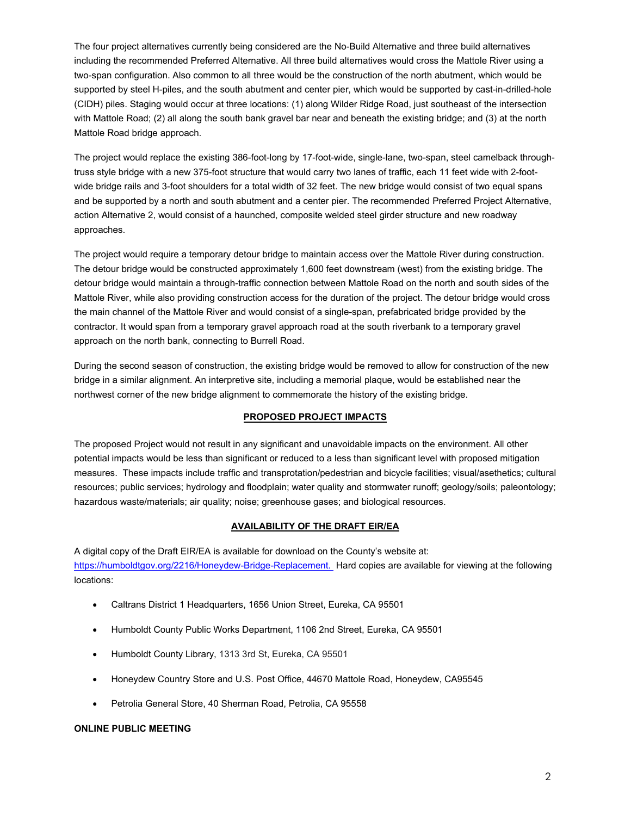The four project alternatives currently being considered are the No-Build Alternative and three build alternatives including the recommended Preferred Alternative. All three build alternatives would cross the Mattole River using a two-span configuration. Also common to all three would be the construction of the north abutment, which would be supported by steel H-piles, and the south abutment and center pier, which would be supported by cast-in-drilled-hole (CIDH) piles. Staging would occur at three locations: (1) along Wilder Ridge Road, just southeast of the intersection with Mattole Road; (2) all along the south bank gravel bar near and beneath the existing bridge; and (3) at the north Mattole Road bridge approach.

The project would replace the existing 386-foot-long by 17-foot-wide, single-lane, two-span, steel camelback throughtruss style bridge with a new 375-foot structure that would carry two lanes of traffic, each 11 feet wide with 2-footwide bridge rails and 3-foot shoulders for a total width of 32 feet. The new bridge would consist of two equal spans and be supported by a north and south abutment and a center pier. The recommended Preferred Project Alternative, action Alternative 2, would consist of a haunched, composite welded steel girder structure and new roadway approaches.

The project would require a temporary detour bridge to maintain access over the Mattole River during construction. The detour bridge would be constructed approximately 1,600 feet downstream (west) from the existing bridge. The detour bridge would maintain a through-traffic connection between Mattole Road on the north and south sides of the Mattole River, while also providing construction access for the duration of the project. The detour bridge would cross the main channel of the Mattole River and would consist of a single-span, prefabricated bridge provided by the contractor. It would span from a temporary gravel approach road at the south riverbank to a temporary gravel approach on the north bank, connecting to Burrell Road.

During the second season of construction, the existing bridge would be removed to allow for construction of the new bridge in a similar alignment. An interpretive site, including a memorial plaque, would be established near the northwest corner of the new bridge alignment to commemorate the history of the existing bridge.

#### **PROPOSED PROJECT IMPACTS**

The proposed Project would not result in any significant and unavoidable impacts on the environment. All other potential impacts would be less than significant or reduced to a less than significant level with proposed mitigation measures. These impacts include traffic and transprotation/pedestrian and bicycle facilities; visual/asethetics; cultural resources; public services; hydrology and floodplain; water quality and stormwater runoff; geology/soils; paleontology; hazardous waste/materials; air quality; noise; greenhouse gases; and biological resources.

#### **AVAILABILITY OF THE DRAFT EIR/EA**

A digital copy of the Draft EIR/EA is available for download on the County's website at: [https://humboldtgov.org/2216/Honeydew-Bridge-Replacement.](https://humboldtgov.org/2216/Honeydew-Bridge-Replacement) Hard copies are available for viewing at the following locations:

- Caltrans District 1 Headquarters, 1656 Union Street, Eureka, CA 95501
- Humboldt County Public Works Department, 1106 2nd Street, Eureka, CA 95501
- Humboldt County Library, 1313 3rd St, Eureka, CA 95501
- Honeydew Country Store and U.S. Post Office, 44670 Mattole Road, Honeydew, CA95545
- Petrolia General Store, 40 Sherman Road, Petrolia, CA 95558

#### **ONLINE PUBLIC MEETING**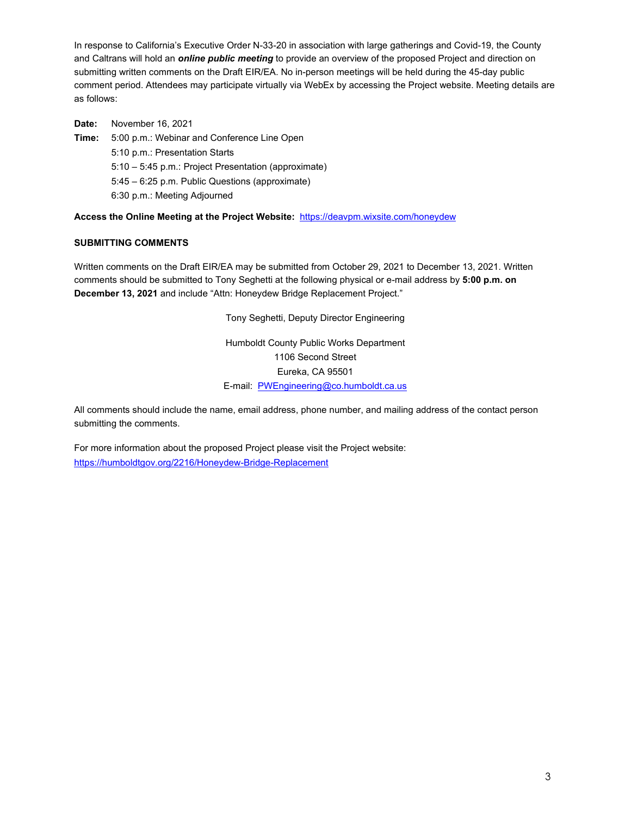In response to California's Executive Order N-33-20 in association with large gatherings and Covid-19, the County and Caltrans will hold an *online public meeting* to provide an overview of the proposed Project and direction on submitting written comments on the Draft EIR/EA. No in-person meetings will be held during the 45-day public comment period. Attendees may participate virtually via WebEx by accessing the Project website. Meeting details are as follows:

**Date:** November 16, 2021 **Time:** 5:00 p.m.: Webinar and Conference Line Open 5:10 p.m.: Presentation Starts 5:10 – 5:45 p.m.: Project Presentation (approximate) 5:45 – 6:25 p.m. Public Questions (approximate) 6:30 p.m.: Meeting Adjourned

**Access the Online Meeting at the Project Website:** [https://deavpm.wixsite.com/honeydew](https://can01.safelinks.protection.outlook.com/?url=https%3A%2F%2Furldefense.com%2Fv3%2F__https%3A%2Fcan01.safelinks.protection.outlook.com%2F%3Furl%3Dhttps*3A*2F*2Fdeavpm.wixsite.com*2Fhoneydew%26data%3D04*7C01*7Cwirt.lanning*40stantec.com*7C0dde30d88f1943a8fe3108d9928b6ff3*7C413c6f2c219a469297d3f2b4d80281e7*7C0*7C0*7C637701949866067690*7CUnknown*7CTWFpbGZsb3d8eyJWIjoiMC4wLjAwMDAiLCJQIjoiV2luMzIiLCJBTiI6Ik1haWwiLCJXVCI6Mn0*3D*7C1000%26sdata%3DYiSllplsa7sJhjVopUMwHpm0ShL69wogdQHZADOolys*3D%26reserved%3D0__%3BJSUlJSUlJSUlJSUlJSUlJSU!!LWi6xHDyrA!tdGJqnk5xsxqGa7Sep5nZ-_p4WuPoMZl6gyh7GcK3BUGfRy8Kffrrf_P6Xmd3wr1CC0SVn8%24&data=04%7C01%7Cwirt.lanning%40stantec.com%7C175f13d2d07447b5c5b608d99322d641%7C413c6f2c219a469297d3f2b4d80281e7%7C0%7C0%7C637702601464124058%7CUnknown%7CTWFpbGZsb3d8eyJWIjoiMC4wLjAwMDAiLCJQIjoiV2luMzIiLCJBTiI6Ik1haWwiLCJXVCI6Mn0%3D%7C1000&sdata=%2B0bZl13Dic1r%2FE9OQQ%2B6DilklmwQdqjNbv2T7cTVT%2BM%3D&reserved=0)

## **SUBMITTING COMMENTS**

Written comments on the Draft EIR/EA may be submitted from October 29, 2021 to December 13, 2021. Written comments should be submitted to Tony Seghetti at the following physical or e-mail address by **5:00 p.m. on December 13, 2021** and include "Attn: Honeydew Bridge Replacement Project."

> Humboldt County Public Works Department 1106 Second Street Eureka, CA 95501 E-mail: [PWEngineering@co.humboldt.ca.us](mailto:PWEngineering@co.humboldt.ca.us)

> Tony Seghetti, Deputy Director Engineering

All comments should include the name, email address, phone number, and mailing address of the contact person submitting the comments.

For more information about the proposed Project please visit the Project website: <https://humboldtgov.org/2216/Honeydew-Bridge-Replacement>